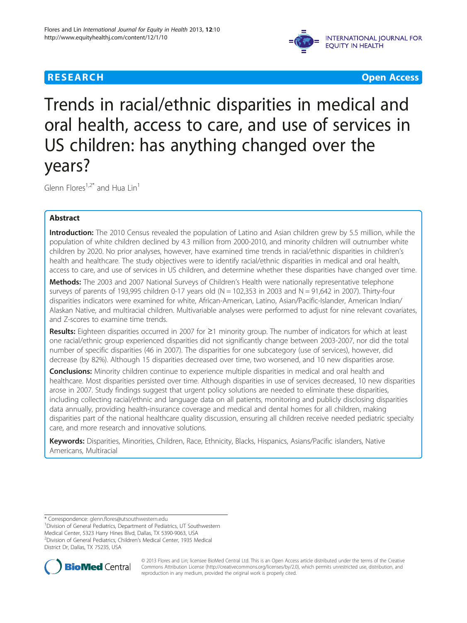# **RESEARCH CHINESE ARCHITECT CONTRACT CONTRACT CONTRACT CONTRACT CONTRACT CONTRACT CONTRACT CONTRACT CONTRACT CONTRACT CONTRACT CONTRACT CONTRACT CONTRACT CONTRACT CONTRACT CONTRACT CONTRACT CONTRACT CONTRACT CONTRACT CON**



Trends in racial/ethnic disparities in medical and oral health, access to care, and use of services in US children: has anything changed over the years?

Glenn Flores<sup>1,2\*</sup> and Hua Lin<sup>1</sup>

# Abstract

Introduction: The 2010 Census revealed the population of Latino and Asian children grew by 5.5 million, while the population of white children declined by 4.3 million from 2000-2010, and minority children will outnumber white children by 2020. No prior analyses, however, have examined time trends in racial/ethnic disparities in children's health and healthcare. The study objectives were to identify racial/ethnic disparities in medical and oral health, access to care, and use of services in US children, and determine whether these disparities have changed over time.

Methods: The 2003 and 2007 National Surveys of Children's Health were nationally representative telephone surveys of parents of 193,995 children 0-17 years old (N = 102,353 in 2003 and N = 91,642 in 2007). Thirty-four disparities indicators were examined for white, African-American, Latino, Asian/Pacific-Islander, American Indian/ Alaskan Native, and multiracial children. Multivariable analyses were performed to adjust for nine relevant covariates, and Z-scores to examine time trends.

Results: Eighteen disparities occurred in 2007 for ≥1 minority group. The number of indicators for which at least one racial/ethnic group experienced disparities did not significantly change between 2003-2007, nor did the total number of specific disparities (46 in 2007). The disparities for one subcategory (use of services), however, did decrease (by 82%). Although 15 disparities decreased over time, two worsened, and 10 new disparities arose.

**Conclusions:** Minority children continue to experience multiple disparities in medical and oral health and healthcare. Most disparities persisted over time. Although disparities in use of services decreased, 10 new disparities arose in 2007. Study findings suggest that urgent policy solutions are needed to eliminate these disparities, including collecting racial/ethnic and language data on all patients, monitoring and publicly disclosing disparities data annually, providing health-insurance coverage and medical and dental homes for all children, making disparities part of the national healthcare quality discussion, ensuring all children receive needed pediatric specialty care, and more research and innovative solutions.

Keywords: Disparities, Minorities, Children, Race, Ethnicity, Blacks, Hispanics, Asians/Pacific islanders, Native Americans, Multiracial

\* Correspondence: [glenn.flores@utsouthwestern.edu](mailto:glenn.flores@utsouthwestern.edu) <sup>1</sup>

Division of General Pediatrics, Department of Pediatrics, UT Southwestern Medical Center, 5323 Harry Hines Blvd, Dallas, TX 5390-9063, USA 2 Division of General Pediatrics, Children's Medical Center, 1935 Medical District Dr, Dallas, TX 75235, USA



© 2013 Flores and Lin; licensee BioMed Central Ltd. This is an Open Access article distributed under the terms of the Creative Commons Attribution License [\(http://creativecommons.org/licenses/by/2.0\)](http://creativecommons.org/licenses/by/2.0), which permits unrestricted use, distribution, and reproduction in any medium, provided the original work is properly cited.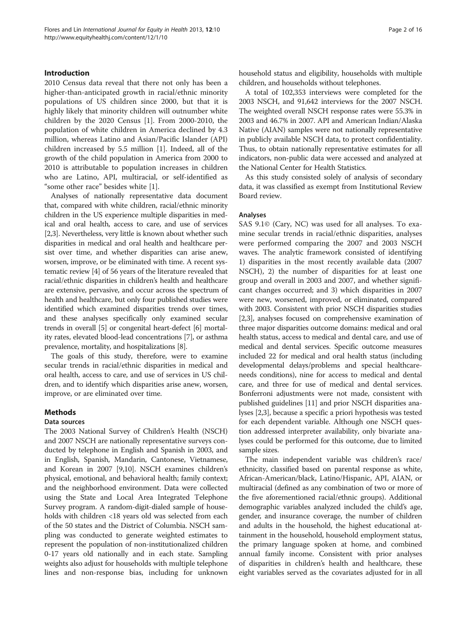### Introduction

2010 Census data reveal that there not only has been a higher-than-anticipated growth in racial/ethnic minority populations of US children since 2000, but that it is highly likely that minority children will outnumber white children by the 2020 Census [\[1\]](#page-14-0). From 2000-2010, the population of white children in America declined by 4.3 million, whereas Latino and Asian/Pacific Islander (API) children increased by 5.5 million [\[1](#page-14-0)]. Indeed, all of the growth of the child population in America from 2000 to 2010 is attributable to population increases in children who are Latino, API, multiracial, or self-identified as "some other race" besides white [\[1](#page-14-0)].

Analyses of nationally representative data document that, compared with white children, racial/ethnic minority children in the US experience multiple disparities in medical and oral health, access to care, and use of services [[2,3](#page-14-0)]. Nevertheless, very little is known about whether such disparities in medical and oral health and healthcare persist over time, and whether disparities can arise anew, worsen, improve, or be eliminated with time. A recent systematic review [\[4\]](#page-14-0) of 56 years of the literature revealed that racial/ethnic disparities in children's health and healthcare are extensive, pervasive, and occur across the spectrum of health and healthcare, but only four published studies were identified which examined disparities trends over times, and these analyses specifically only examined secular trends in overall [[5](#page-14-0)] or congenital heart-defect [\[6](#page-15-0)] mortality rates, elevated blood-lead concentrations [[7\]](#page-15-0), or asthma prevalence, mortality, and hospitalizations [\[8\]](#page-15-0).

The goals of this study, therefore, were to examine secular trends in racial/ethnic disparities in medical and oral health, access to care, and use of services in US children, and to identify which disparities arise anew, worsen, improve, or are eliminated over time.

#### Methods

### Data sources

The 2003 National Survey of Children's Health (NSCH) and 2007 NSCH are nationally representative surveys conducted by telephone in English and Spanish in 2003, and in English, Spanish, Mandarin, Cantonese, Vietnamese, and Korean in 2007 [[9](#page-15-0),[10](#page-15-0)]. NSCH examines children's physical, emotional, and behavioral health; family context; and the neighborhood environment. Data were collected using the State and Local Area Integrated Telephone Survey program. A random-digit-dialed sample of households with children <18 years old was selected from each of the 50 states and the District of Columbia. NSCH sampling was conducted to generate weighted estimates to represent the population of non-institutionalized children 0-17 years old nationally and in each state. Sampling weights also adjust for households with multiple telephone lines and non-response bias, including for unknown household status and eligibility, households with multiple children, and households without telephones.

A total of 102,353 interviews were completed for the 2003 NSCH, and 91,642 interviews for the 2007 NSCH. The weighted overall NSCH response rates were 55.3% in 2003 and 46.7% in 2007. API and American Indian/Alaska Native (AIAN) samples were not nationally representative in publicly available NSCH data, to protect confidentiality. Thus, to obtain nationally representative estimates for all indicators, non-public data were accessed and analyzed at the National Center for Health Statistics.

As this study consisted solely of analysis of secondary data, it was classified as exempt from Institutional Review Board review.

#### Analyses

SAS 9.1© (Cary, NC) was used for all analyses. To examine secular trends in racial/ethnic disparities, analyses were performed comparing the 2007 and 2003 NSCH waves. The analytic framework consisted of identifying 1) disparities in the most recently available data (2007 NSCH), 2) the number of disparities for at least one group and overall in 2003 and 2007, and whether significant changes occurred; and 3) which disparities in 2007 were new, worsened, improved, or eliminated, compared with 2003. Consistent with prior NSCH disparities studies [[2,3](#page-14-0)], analyses focused on comprehensive examination of three major disparities outcome domains: medical and oral health status, access to medical and dental care, and use of medical and dental services. Specific outcome measures included 22 for medical and oral health status (including developmental delays/problems and special healthcareneeds conditions), nine for access to medical and dental care, and three for use of medical and dental services. Bonferroni adjustments were not made, consistent with published guidelines [\[11\]](#page-15-0) and prior NSCH disparities analyses [[2,3](#page-14-0)], because a specific a priori hypothesis was tested for each dependent variable. Although one NSCH question addressed interpreter availability, only bivariate analyses could be performed for this outcome, due to limited sample sizes.

The main independent variable was children's race/ ethnicity, classified based on parental response as white, African-American/black, Latino/Hispanic, API, AIAN, or multiracial (defined as any combination of two or more of the five aforementioned racial/ethnic groups). Additional demographic variables analyzed included the child's age, gender, and insurance coverage, the number of children and adults in the household, the highest educational attainment in the household, household employment status, the primary language spoken at home, and combined annual family income. Consistent with prior analyses of disparities in children's health and healthcare, these eight variables served as the covariates adjusted for in all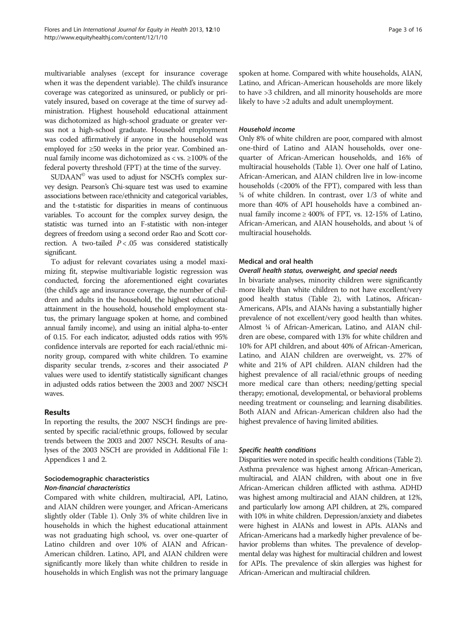multivariable analyses (except for insurance coverage when it was the dependent variable). The child's insurance coverage was categorized as uninsured, or publicly or privately insured, based on coverage at the time of survey administration. Highest household educational attainment was dichotomized as high-school graduate or greater versus not a high-school graduate. Household employment was coded affirmatively if anyone in the household was employed for ≥50 weeks in the prior year. Combined annual family income was dichotomized as < vs. ≥100% of the federal poverty threshold (FPT) at the time of the survey.

SUDAAN© was used to adjust for NSCH's complex survey design. Pearson's Chi-square test was used to examine associations between race/ethnicity and categorical variables, and the t-statistic for disparities in means of continuous variables. To account for the complex survey design, the statistic was turned into an F-statistic with non-integer degrees of freedom using a second order Rao and Scott correction. A two-tailed  $P < .05$  was considered statistically significant.

To adjust for relevant covariates using a model maximizing fit, stepwise multivariable logistic regression was conducted, forcing the aforementioned eight covariates (the child's age and insurance coverage, the number of children and adults in the household, the highest educational attainment in the household, household employment status, the primary language spoken at home, and combined annual family income), and using an initial alpha-to-enter of 0.15. For each indicator, adjusted odds ratios with 95% confidence intervals are reported for each racial/ethnic minority group, compared with white children. To examine disparity secular trends, z-scores and their associated P values were used to identify statistically significant changes in adjusted odds ratios between the 2003 and 2007 NSCH waves.

# Results

In reporting the results, the 2007 NSCH findings are presented by specific racial/ethnic groups, followed by secular trends between the 2003 and 2007 NSCH. Results of analyses of the 2003 NSCH are provided in Additional File [1](#page-14-0): Appendices 1 and 2.

# Sociodemographic characteristics Non-financial characteristics

Compared with white children, multiracial, API, Latino, and AIAN children were younger, and African-Americans slightly older (Table [1\)](#page-3-0). Only 3% of white children live in households in which the highest educational attainment was not graduating high school, vs. over one-quarter of Latino children and over 10% of AIAN and African-American children. Latino, API, and AIAN children were significantly more likely than white children to reside in households in which English was not the primary language

spoken at home. Compared with white households, AIAN, Latino, and African-American households are more likely to have >3 children, and all minority households are more likely to have >2 adults and adult unemployment.

# Household income

Only 8% of white children are poor, compared with almost one-third of Latino and AIAN households, over onequarter of African-American households, and 16% of multiracial households (Table [1](#page-3-0)). Over one half of Latino, African-American, and AIAN children live in low-income households (<200% of the FPT), compared with less than ¼ of white children. In contrast, over 1/3 of white and more than 40% of API households have a combined annual family income  $\geq 400\%$  of FPT, vs. 12-15% of Latino, African-American, and AIAN households, and about ¼ of multiracial households.

# Medical and oral health

# Overall health status, overweight, and special needs

In bivariate analyses, minority children were significantly more likely than white children to not have excellent/very good health status (Table [2](#page-4-0)), with Latinos, African-Americans, APIs, and AIANs having a substantially higher prevalence of not excellent/very good health than whites. Almost ¼ of African-American, Latino, and AIAN children are obese, compared with 13% for white children and 10% for API children, and about 40% of African-American, Latino, and AIAN children are overweight, vs. 27% of white and 21% of API children. AIAN children had the highest prevalence of all racial/ethnic groups of needing more medical care than others; needing/getting special therapy; emotional, developmental, or behavioral problems needing treatment or counseling; and learning disabilities. Both AIAN and African-American children also had the highest prevalence of having limited abilities.

# Specific health conditions

Disparities were noted in specific health conditions (Table [2](#page-4-0)). Asthma prevalence was highest among African-American, multiracial, and AIAN children, with about one in five African-American children afflicted with asthma. ADHD was highest among multiracial and AIAN children, at 12%, and particularly low among API children, at 2%, compared with 10% in white children. Depression/anxiety and diabetes were highest in AIANs and lowest in APIs. AIANs and African-Americans had a markedly higher prevalence of behavior problems than whites. The prevalence of developmental delay was highest for multiracial children and lowest for APIs. The prevalence of skin allergies was highest for African-American and multiracial children.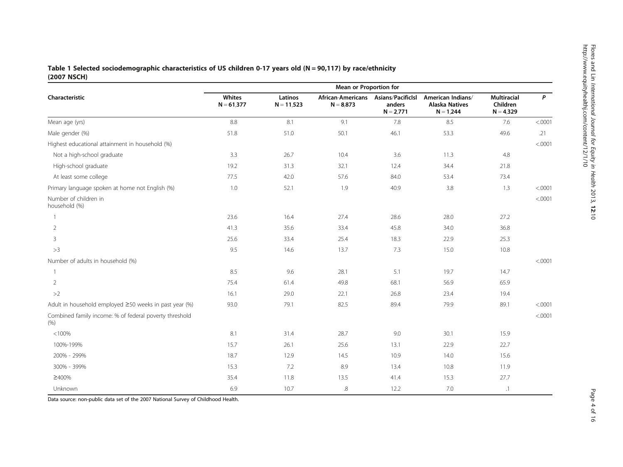# <span id="page-3-0"></span>Table 1 Selected sociodemographic characteristics of US children 0-17 years old (N = 90,117) by race/ethnicity (2007 NSCH)

|                                                                | Mean or Proportion for |                         |                                                    |                       |                                                           |                                               |         |  |  |
|----------------------------------------------------------------|------------------------|-------------------------|----------------------------------------------------|-----------------------|-----------------------------------------------------------|-----------------------------------------------|---------|--|--|
| Characteristic                                                 | Whites<br>$N = 61,377$ | Latinos<br>$N = 11,523$ | African-Americans Asians/PacificIsl<br>$N = 8.873$ | anders<br>$N = 2,771$ | American Indians/<br><b>Alaska Natives</b><br>$N = 1,244$ | <b>Multiracial</b><br>Children<br>$N = 4,329$ | P       |  |  |
| Mean age (yrs)                                                 | 8.8                    | 8.1                     | 9.1                                                | 7.8                   | 8.5                                                       | 7.6                                           | < .0001 |  |  |
| Male gender (%)                                                | 51.8                   | 51.0                    | 50.1                                               | 46.1                  | 53.3                                                      | 49.6                                          | .21     |  |  |
| Highest educational attainment in household (%)                |                        |                         |                                                    |                       |                                                           |                                               | < .0001 |  |  |
| Not a high-school graduate                                     | 3.3                    | 26.7                    | 10.4                                               | 3.6                   | 11.3                                                      | 4.8                                           |         |  |  |
| High-school graduate                                           | 19.2                   | 31.3                    | 32.1                                               | 12.4                  | 34.4                                                      | 21.8                                          |         |  |  |
| At least some college                                          | 77.5                   | 42.0                    | 57.6                                               | 84.0                  | 53.4                                                      | 73.4                                          |         |  |  |
| Primary language spoken at home not English (%)                | 1.0                    | 52.1                    | 1.9                                                | 40.9                  | 3.8                                                       | 1.3                                           | < .0001 |  |  |
| Number of children in<br>household (%)                         |                        |                         |                                                    |                       |                                                           |                                               | < .0001 |  |  |
|                                                                | 23.6                   | 16.4                    | 27.4                                               | 28.6                  | 28.0                                                      | 27.2                                          |         |  |  |
| $\overline{2}$                                                 | 41.3                   | 35.6                    | 33.4                                               | 45.8                  | 34.0                                                      | 36.8                                          |         |  |  |
| 3                                                              | 25.6                   | 33.4                    | 25.4                                               | 18.3                  | 22.9                                                      | 25.3                                          |         |  |  |
| >3                                                             | 9.5                    | 14.6                    | 13.7                                               | 7.3                   | 15.0                                                      | 10.8                                          |         |  |  |
| Number of adults in household (%)                              |                        |                         |                                                    |                       |                                                           |                                               | < .0001 |  |  |
|                                                                | 8.5                    | 9.6                     | 28.1                                               | 5.1                   | 19.7                                                      | 14.7                                          |         |  |  |
| 2                                                              | 75.4                   | 61.4                    | 49.8                                               | 68.1                  | 56.9                                                      | 65.9                                          |         |  |  |
| >2                                                             | 16.1                   | 29.0                    | 22.1                                               | 26.8                  | 23.4                                                      | 19.4                                          |         |  |  |
| Adult in household employed ≥50 weeks in past year (%)         | 93.0                   | 79.1                    | 82.5                                               | 89.4                  | 79.9                                                      | 89.1                                          | < .0001 |  |  |
| Combined family income: % of federal poverty threshold<br>(% ) |                        |                         |                                                    |                       |                                                           |                                               | < .0001 |  |  |
| < 100%                                                         | 8.1                    | 31.4                    | 28.7                                               | 9.0                   | 30.1                                                      | 15.9                                          |         |  |  |
| 100%-199%                                                      | 15.7                   | 26.1                    | 25.6                                               | 13.1                  | 22.9                                                      | 22.7                                          |         |  |  |
| 200% - 299%                                                    | 18.7                   | 12.9                    | 14.5                                               | 10.9                  | 14.0                                                      | 15.6                                          |         |  |  |
| 300% - 399%                                                    | 15.3                   | 7.2                     | 8.9                                                | 13.4                  | 10.8                                                      | 11.9                                          |         |  |  |
| ≥400%                                                          | 35.4                   | 11.8                    | 13.5                                               | 41.4                  | 15.3                                                      | 27.7                                          |         |  |  |
| Unknown                                                        | 6.9                    | 10.7                    | $.8\,$                                             | 12.2                  | 7.0                                                       | $\cdot$ 1                                     |         |  |  |

Data source: non-public data set of the 2007 National Survey of Childhood Health.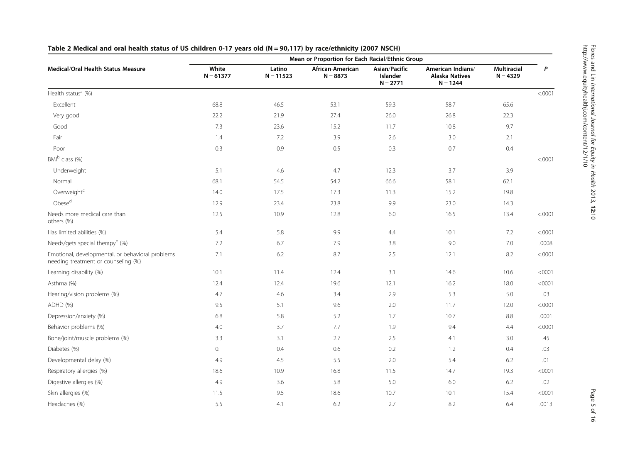|                                                                                         | Mean or Proportion for Each Racial/Ethnic Group |                       |                                |                                                |                                                   |                                  |          |  |  |  |
|-----------------------------------------------------------------------------------------|-------------------------------------------------|-----------------------|--------------------------------|------------------------------------------------|---------------------------------------------------|----------------------------------|----------|--|--|--|
| <b>Medical/Oral Health Status Measure</b>                                               | White<br>$N = 61377$                            | Latino<br>$N = 11523$ | African-American<br>$N = 8873$ | Asian/Pacific<br><b>Islander</b><br>$N = 2771$ | American Indians/<br>Alaska Natives<br>$N = 1244$ | <b>Multiracial</b><br>$N = 4329$ | P        |  |  |  |
| Health status <sup>a</sup> (%)                                                          |                                                 |                       |                                |                                                |                                                   |                                  | < .0001  |  |  |  |
| Excellent                                                                               | 68.8                                            | 46.5                  | 53.1                           | 59.3                                           | 58.7                                              | 65.6                             |          |  |  |  |
| Very good                                                                               | 22.2                                            | 21.9                  | 27.4                           | 26.0                                           | 26.8                                              | 22.3                             |          |  |  |  |
| Good                                                                                    | 7.3                                             | 23.6                  | 15.2                           | 11.7                                           | 10.8                                              | 9.7                              |          |  |  |  |
| Fair                                                                                    | 1.4                                             | 7.2                   | 3.9                            | 2.6                                            | 3.0                                               | 2.1                              |          |  |  |  |
| Poor                                                                                    | 0.3                                             | 0.9                   | 0.5                            | 0.3                                            | 0.7                                               | 0.4                              |          |  |  |  |
| BMI <sup>b</sup> class (%)                                                              |                                                 |                       |                                |                                                |                                                   |                                  | < .0001  |  |  |  |
| Underweight                                                                             | 5.1                                             | 4.6                   | 4.7                            | 12.3                                           | 3.7                                               | 3.9                              |          |  |  |  |
| Normal                                                                                  | 68.1                                            | 54.5                  | 54.2                           | 66.6                                           | 58.1                                              | 62.1                             |          |  |  |  |
| Overweight <sup>c</sup>                                                                 | 14.0                                            | 17.5                  | 17.3                           | 11.3                                           | 15.2                                              | 19.8                             |          |  |  |  |
| Obese <sup>d</sup>                                                                      | 12.9                                            | 23.4                  | 23.8                           | 9.9                                            | 23.0                                              | 14.3                             |          |  |  |  |
| Needs more medical care than<br>others (%)                                              | 12.5                                            | 10.9                  | 12.8                           | 6.0                                            | 16.5                                              | 13.4                             | < .0001  |  |  |  |
| Has limited abilities (%)                                                               | 5.4                                             | 5.8                   | 9.9                            | 4.4                                            | 10.1                                              | $7.2\,$                          | < .0001  |  |  |  |
| Needs/gets special therapy <sup>e</sup> (%)                                             | 7.2                                             | 6.7                   | 7.9                            | 3.8                                            | 9.0                                               | $7.0\,$                          | .0008    |  |  |  |
| Emotional, developmental, or behavioral problems<br>needing treatment or counseling (%) | 7.1                                             | 6.2                   | 8.7                            | 2.5                                            | 12.1                                              | 8.2                              | < .0001  |  |  |  |
| Learning disability (%)                                                                 | 10.1                                            | 11.4                  | 12.4                           | 3.1                                            | 14.6                                              | 10.6                             | < 0001   |  |  |  |
| Asthma (%)                                                                              | 12.4                                            | 12.4                  | 19.6                           | 12.1                                           | 16.2                                              | 18.0                             | $<$ 0001 |  |  |  |
| Hearing/vision problems (%)                                                             | 4.7                                             | 4.6                   | 3.4                            | 2.9                                            | 5.3                                               | 5.0                              | .03      |  |  |  |
| ADHD (%)                                                                                | 9.5                                             | 5.1                   | 9.6                            | 2.0                                            | 11.7                                              | 12.0                             | < .0001  |  |  |  |
| Depression/anxiety (%)                                                                  | 6.8                                             | 5.8                   | 5.2                            | 1.7                                            | 10.7                                              | 8.8                              | .0001    |  |  |  |
| Behavior problems (%)                                                                   | 4.0                                             | 3.7                   | 7.7                            | 1.9                                            | 9.4                                               | 4.4                              | < .0001  |  |  |  |
| Bone/joint/muscle problems (%)                                                          | 3.3                                             | 3.1                   | 2.7                            | 2.5                                            | 4.1                                               | 3.0                              | .45      |  |  |  |
| Diabetes (%)                                                                            | 0.                                              | 0.4                   | 0.6                            | 0.2                                            | 1.2                                               | 0.4                              | .03      |  |  |  |
| Developmental delay (%)                                                                 | 4.9                                             | 4.5                   | 5.5                            | 2.0                                            | 5.4                                               | 6.2                              | .01      |  |  |  |
| Respiratory allergies (%)                                                               | 18.6                                            | 10.9                  | 16.8                           | 11.5                                           | 14.7                                              | 19.3                             | < 0001   |  |  |  |
| Digestive allergies (%)                                                                 | 4.9                                             | 3.6                   | 5.8                            | 5.0                                            | $6.0\,$                                           | $6.2\,$                          | .02      |  |  |  |
| Skin allergies (%)                                                                      | 11.5                                            | 9.5                   | 18.6                           | 10.7                                           | 10.1                                              | 15.4                             | < 0001   |  |  |  |
| Headaches (%)                                                                           | 5.5                                             | 4.1                   | 6.2                            | 2.7                                            | 8.2                                               | 6.4                              | .0013    |  |  |  |

# <span id="page-4-0"></span>Table 2 Medical and oral health status of US children 0-17 years old (N = 90,117) by race/ethnicity (2007 NSCH)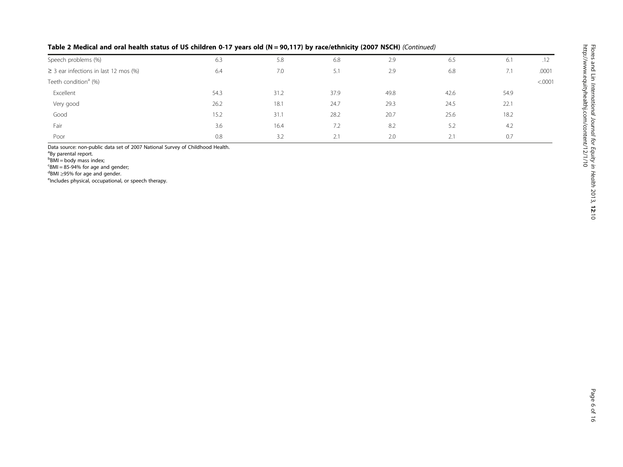|  | Table 2 Medical and oral health status of US children 0-17 years old (N = 90,117) by race/ethnicity (2007 NSCH) (Continued) |
|--|-----------------------------------------------------------------------------------------------------------------------------|
|--|-----------------------------------------------------------------------------------------------------------------------------|

| Speech problems (%)                        | 6.3  | 5.8  | 6.8  | 2.9  | 6.5  | 6.1        | .12     |
|--------------------------------------------|------|------|------|------|------|------------|---------|
| $\geq$ 3 ear infections in last 12 mos (%) | 6.4  | 7.0  | 5.1  | 2.9  | 6.8  | $\sqrt{1}$ | .0001   |
| Teeth condition <sup>a</sup> (%)           |      |      |      |      |      |            | < .0001 |
| Excellent                                  | 54.3 | 31.2 | 37.9 | 49.8 | 42.6 | 54.9       |         |
| Very good                                  | 26.2 | 18.1 | 24.7 | 29.3 | 24.5 | 22.1       |         |
| Good                                       | 15.2 | 31.1 | 28.2 | 20.7 | 25.6 | 18.2       |         |
| Fair                                       | 3.6  | 16.4 | 7.2  | 8.2  | 5.2  | 4.2        |         |
| Poor                                       | 0.8  | 3.2  | 2.1  | 2.0  | 2.1  | 0.7        |         |

Data source: non-public data set of 2007 National Survey of Childhood Health.

<sup>a</sup>By parental report.

<sup>b</sup>BMI = body mass index;

 $\mathrm{c}^{\mathrm{c}}$ BMI = 85-94% for age and gender;

 $\text{d}$ BMI  $\geq$ 95% for age and gender.

<sup>a</sup>BMI ≥95% for age and gender.<br><sup>e</sup>Includes physical, occupational, or speech therapy.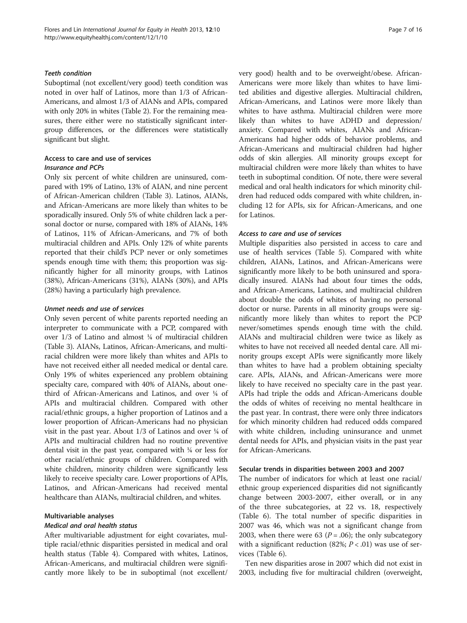#### Teeth condition

Suboptimal (not excellent/very good) teeth condition was noted in over half of Latinos, more than 1/3 of African-Americans, and almost 1/3 of AIANs and APIs, compared with only 20% in whites (Table [2](#page-4-0)). For the remaining measures, there either were no statistically significant intergroup differences, or the differences were statistically significant but slight.

# Access to care and use of services Insurance and PCPs

Only six percent of white children are uninsured, compared with 19% of Latino, 13% of AIAN, and nine percent of African-American children (Table [3](#page-7-0)). Latinos, AIANs, and African-Americans are more likely than whites to be sporadically insured. Only 5% of white children lack a personal doctor or nurse, compared with 18% of AIANs, 14% of Latinos, 11% of African-Americans, and 7% of both multiracial children and APIs. Only 12% of white parents reported that their child's PCP never or only sometimes spends enough time with them; this proportion was significantly higher for all minority groups, with Latinos (38%), African-Americans (31%), AIANs (30%), and APIs (28%) having a particularly high prevalence.

#### Unmet needs and use of services

Only seven percent of white parents reported needing an interpreter to communicate with a PCP, compared with over 1/3 of Latino and almost ¼ of multiracial children (Table [3\)](#page-7-0). AIANs, Latinos, African-Americans, and multiracial children were more likely than whites and APIs to have not received either all needed medical or dental care. Only 19% of whites experienced any problem obtaining specialty care, compared with 40% of AIANs, about onethird of African-Americans and Latinos, and over ¼ of APIs and multiracial children. Compared with other racial/ethnic groups, a higher proportion of Latinos and a lower proportion of African-Americans had no physician visit in the past year. About 1/3 of Latinos and over ¼ of APIs and multiracial children had no routine preventive dental visit in the past year, compared with ¼ or less for other racial/ethnic groups of children. Compared with white children, minority children were significantly less likely to receive specialty care. Lower proportions of APIs, Latinos, and African-Americans had received mental healthcare than AIANs, multiracial children, and whites.

# Multivariable analyses

# Medical and oral health status

After multivariable adjustment for eight covariates, multiple racial/ethnic disparities persisted in medical and oral health status (Table [4\)](#page-8-0). Compared with whites, Latinos, African-Americans, and multiracial children were significantly more likely to be in suboptimal (not excellent/ very good) health and to be overweight/obese. African-Americans were more likely than whites to have limited abilities and digestive allergies. Multiracial children, African-Americans, and Latinos were more likely than whites to have asthma. Multiracial children were more likely than whites to have ADHD and depression/ anxiety. Compared with whites, AIANs and African-Americans had higher odds of behavior problems, and African-Americans and multiracial children had higher odds of skin allergies. All minority groups except for multiracial children were more likely than whites to have teeth in suboptimal condition. Of note, there were several medical and oral health indicators for which minority children had reduced odds compared with white children, including 12 for APIs, six for African-Americans, and one for Latinos.

### Access to care and use of services

Multiple disparities also persisted in access to care and use of health services (Table [5\)](#page-9-0). Compared with white children, AIANs, Latinos, and African-Americans were significantly more likely to be both uninsured and sporadically insured. AIANs had about four times the odds, and African-Americans, Latinos, and multiracial children about double the odds of whites of having no personal doctor or nurse. Parents in all minority groups were significantly more likely than whites to report the PCP never/sometimes spends enough time with the child. AIANs and multiracial children were twice as likely as whites to have not received all needed dental care. All minority groups except APIs were significantly more likely than whites to have had a problem obtaining specialty care. APIs, AIANs, and African-Americans were more likely to have received no specialty care in the past year. APIs had triple the odds and African-Americans double the odds of whites of receiving no mental healthcare in the past year. In contrast, there were only three indicators for which minority children had reduced odds compared with white children, including uninsurance and unmet dental needs for APIs, and physician visits in the past year for African-Americans.

# Secular trends in disparities between 2003 and 2007

The number of indicators for which at least one racial/ ethnic group experienced disparities did not significantly change between 2003-2007, either overall, or in any of the three subcategories, at 22 vs. 18, respectively (Table [6](#page-10-0)). The total number of specific disparities in 2007 was 46, which was not a significant change from 2003, when there were 63 ( $P = .06$ ); the only subcategory with a significant reduction (82%;  $P < .01$ ) was use of services (Table [6\)](#page-10-0).

Ten new disparities arose in 2007 which did not exist in 2003, including five for multiracial children (overweight,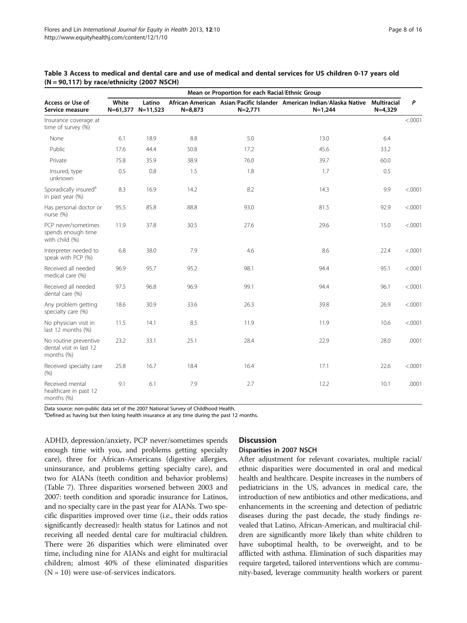|                                                                | Mean or Proportion for each Racial/Ethnic Group |                             |             |             |                                                                                      |                                 |         |
|----------------------------------------------------------------|-------------------------------------------------|-----------------------------|-------------|-------------|--------------------------------------------------------------------------------------|---------------------------------|---------|
| Access or Use-of-<br>Service measure                           | White                                           | Latino<br>N=61,377 N=11,523 | $N = 8,873$ | $N = 2,771$ | African-American Asian/Pacific Islander American Indian/Alaska Native<br>$N = 1,244$ | <b>Multiracial</b><br>$N=4,329$ | P       |
| Insurance coverage at<br>time of survey (%)                    |                                                 |                             |             |             |                                                                                      |                                 | < .0001 |
| None                                                           | 6.1                                             | 18.9                        | 8.8         | 5.0         | 13.0                                                                                 | 6.4                             |         |
| Public                                                         | 17.6                                            | 44.4                        | 50.8        | 17.2        | 45.6                                                                                 | 33.2                            |         |
| Private                                                        | 75.8                                            | 35.9                        | 38.9        | 76.0        | 39.7                                                                                 | 60.0                            |         |
| Insured, type<br>unknown                                       | 0.5                                             | 0.8                         | 1.5         | 1.8         | 1.7                                                                                  | 0.5                             |         |
| Sporadically insured <sup>a</sup><br>in past year (%)          | 8.3                                             | 16.9                        | 14.2        | 8.2         | 14.3                                                                                 | 9.9                             | < .0001 |
| Has personal doctor or<br>nurse (%)                            | 95.5                                            | 85.8                        | 88.8        | 93.0        | 81.5                                                                                 | 92.9                            | < .0001 |
| PCP never/sometimes<br>spends enough time<br>with child (%)    | 11.9                                            | 37.8                        | 30.5        | 27.6        | 29.6                                                                                 | 15.0                            | < .0001 |
| Interpreter needed to<br>speak with PCP (%)                    | 6.8                                             | 38.0                        | 7.9         | 4.6         | 8.6                                                                                  | 22.4                            | < .0001 |
| Received all needed<br>medical care (%)                        | 96.9                                            | 95.7                        | 95.2        | 98.1        | 94.4                                                                                 | 95.1                            | < .0001 |
| Received all needed<br>dental care (%)                         | 97.5                                            | 96.8                        | 96.9        | 99.1        | 94.4                                                                                 | 96.1                            | < .0001 |
| Any problem getting<br>specialty care (%)                      | 18.6                                            | 30.9                        | 33.6        | 26.3        | 39.8                                                                                 | 26.9                            | < .0001 |
| No physician visit in<br>last 12 months (%)                    | 11.5                                            | 14.1                        | 8.5         | 11.9        | 11.9                                                                                 | 10.6                            | < .0001 |
| No routine preventive<br>dental visit in last 12<br>months (%) | 23.2                                            | 33.1                        | 25.1        | 28.4        | 22.9                                                                                 | 28.0                            | .0001   |
| Received specialty care<br>(% )                                | 25.8                                            | 16.7                        | 18.4        | 16.4        | 17.1                                                                                 | 22.6                            | < .0001 |
| Received mental<br>healthcare in past 12<br>months (%)         | 9.1                                             | 6.1                         | 7.9         | 2.7         | 12.2                                                                                 | 10.1                            | .0001   |

<span id="page-7-0"></span>

|  | Table 3 Access to medical and dental care and use of medical and dental services for US children 0-17 years old |  |  |  |  |  |  |
|--|-----------------------------------------------------------------------------------------------------------------|--|--|--|--|--|--|
|  | $(N = 90,117)$ by race/ethnicity (2007 NSCH)                                                                    |  |  |  |  |  |  |

Data source: non-public data set of the 2007 National Survey of Childhood Health.

<sup>a</sup>Defined as having but then losing health insurance at any time during the past 12 months.

ADHD, depression/anxiety, PCP never/sometimes spends enough time with you, and problems getting specialty care), three for African-Americans (digestive allergies, uninsurance, and problems getting specialty care), and two for AIANs (teeth condition and behavior problems) (Table [7\)](#page-11-0). Three disparities worsened between 2003 and 2007: teeth condition and sporadic insurance for Latinos, and no specialty care in the past year for AIANs. Two specific disparities improved over time (i.e., their odds ratios significantly decreased): health status for Latinos and not receiving all needed dental care for multiracial children. There were 26 disparities which were eliminated over time, including nine for AIANs and eight for multiracial children; almost 40% of these eliminated disparities  $(N = 10)$  were use-of-services indicators.

# **Discussion**

### Disparities in 2007 NSCH

After adjustment for relevant covariates, multiple racial/ ethnic disparities were documented in oral and medical health and healthcare. Despite increases in the numbers of pediatricians in the US, advances in medical care, the introduction of new antibiotics and other medications, and enhancements in the screening and detection of pediatric diseases during the past decade, the study findings revealed that Latino, African-American, and multiracial children are significantly more likely than white children to have suboptimal health, to be overweight, and to be afflicted with asthma. Elimination of such disparities may require targeted, tailored interventions which are community-based, leverage community health workers or parent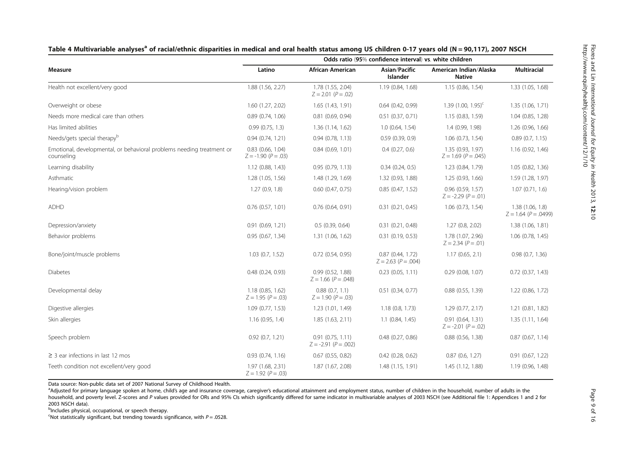|                                                                                     | Odds ratio (95% confidence interval) vs. white children |                                                |                                               |                                               |                                            |  |  |  |  |  |
|-------------------------------------------------------------------------------------|---------------------------------------------------------|------------------------------------------------|-----------------------------------------------|-----------------------------------------------|--------------------------------------------|--|--|--|--|--|
| Measure                                                                             | Latino                                                  | African-American                               | Asian/Pacific<br>Islander                     | American Indian/Alaska<br><b>Native</b>       | <b>Multiracial</b>                         |  |  |  |  |  |
| Health not excellent/very good                                                      | 1.88 (1.56, 2.27)                                       | 1.78 (1.55, 2.04)<br>$Z = 2.01$ ( $P = .02$ )  | 1.19 (0.84, 1.68)                             | 1.15 (0.86, 1.54)                             | 1.33 (1.05, 1.68)                          |  |  |  |  |  |
| Overweight or obese                                                                 | 1.60 (1.27, 2.02)                                       | 1.65 (1.43, 1.91)                              | 0.64(0.42, 0.99)                              | 1.39 $(1.00, 1.95)^c$                         | 1.35 (1.06, 1.71)                          |  |  |  |  |  |
| Needs more medical care than others                                                 | 0.89(0.74, 1.06)                                        | $0.81$ (0.69, 0.94)                            | $0.51$ $(0.37, 0.71)$                         | 1.15 (0.83, 1.59)                             | 1.04 (0.85, 1.28)                          |  |  |  |  |  |
| Has limited abilities                                                               | 0.99(0.75, 1.3)                                         | 1.36(1.14, 1.62)                               | 1.0(0.64, 1.54)                               | 1.4 (0.99, 1.98)                              | 1.26 (0.96, 1.66)                          |  |  |  |  |  |
| Needs/gets special therapy <sup>b</sup>                                             | 0.94(0.74, 1.21)                                        | 0.94(0.78, 1.13)                               | 0.59(0.39, 0.9)                               | $1.06$ (0.73, 1.54)                           | 0.89(0.7, 1.15)                            |  |  |  |  |  |
| Emotional, developmental, or behavioral problems needing treatment or<br>counseling | $0.83$ $(0.66, 1.04)$<br>$Z = -1.90$ ( $P = .03$ )      | 0.84(0.69, 1.01)                               | $0.4$ (0.27, 0.6)                             | 1.35(0.93, 1.97)<br>$Z = 1.69 (P = .045)$     | 1.16 (0.92, 1.46)                          |  |  |  |  |  |
| Learning disability                                                                 | $1.12$ (0.88, 1.43)                                     | 0.95(0.79, 1.13)                               | 0.34(0.24, 0.5)                               | 1.23 (0.84, 1.79)                             | 1.05 (0.82, 1.36)                          |  |  |  |  |  |
| Asthmatic                                                                           | 1.28 (1.05, 1.56)                                       | 1.48 (1.29, 1.69)                              | 1.32 (0.93, 1.88)                             | 1.25(0.93, 1.66)                              | 1.59 (1.28, 1.97)                          |  |  |  |  |  |
| Hearing/vision problem                                                              | 1.27(0.9, 1.8)                                          | $0.60$ (0.47, 0.75)                            | 0.85(0.47, 1.52)                              | 0.96(0.59, 1.57)<br>$Z = -2.29$ ( $P = .01$ ) | 1.07(0.71, 1.6)                            |  |  |  |  |  |
| <b>ADHD</b>                                                                         | $0.76$ $(0.57, 1.01)$                                   | 0.76(0.64, 0.91)                               | 0.31(0.21, 0.45)                              | 1.06(0.73, 1.54)                              | 1.38 (1.06, 1.8)<br>$Z = 1.64 (P = .0499)$ |  |  |  |  |  |
| Depression/anxiety                                                                  | 0.91(0.69, 1.21)                                        | 0.5(0.39, 0.64)                                | 0.31(0.21, 0.48)                              | 1.27(0.8, 2.02)                               | 1.38 (1.06, 1.81)                          |  |  |  |  |  |
| Behavior problems                                                                   | 0.95(0.67, 1.34)                                        | 1.31 (1.06, 1.62)                              | $0.31$ (0.19, 0.53)                           | 1.78 (1.07, 2.96)<br>$Z = 2.34 (P = .01)$     | 1.06 (0.78, 1.45)                          |  |  |  |  |  |
| Bone/joint/muscle problems                                                          | 1.03(0.7, 1.52)                                         | $0.72$ (0.54, 0.95)                            | 0.87(0.44, 1.72)<br>$Z = 2.63$ ( $P = .004$ ) | 1.17(0.65, 2.1)                               | 0.98(0.7, 1.36)                            |  |  |  |  |  |
| Diabetes                                                                            | 0.48 (0.24, 0.93)                                       | 0.99(0.52, 1.88)<br>$Z = 1.66$ ( $P = .048$ )  | $0.23$ (0.05, 1.11)                           | 0.29(0.08, 1.07)                              | $0.72$ $(0.37, 1.43)$                      |  |  |  |  |  |
| Developmental delay                                                                 | 1.18(0.85, 1.62)<br>$Z = 1.95 (P = .03)$                | 0.88(0.7, 1.1)<br>$Z = 1.90 (P = .03)$         | $0.51$ $(0.34, 0.77)$                         | 0.88(0.55, 1.39)                              | 1.22 (0.86, 1.72)                          |  |  |  |  |  |
| Digestive allergies                                                                 | 1.09(0.77, 1.53)                                        | 1.23 (1.01, 1.49)                              | 1.18(0.8, 1.73)                               | 1.29(0.77, 2.17)                              | 1.21 (0.81, 1.82)                          |  |  |  |  |  |
| Skin allergies                                                                      | 1.16(0.95, 1.4)                                         | 1.85(1.63, 2.11)                               | $1.1$ (0.84, 1.45)                            | 0.91(0.64, 1.31)<br>$Z = -2.01$ ( $P = .02$ ) | 1.35(1.11, 1.64)                           |  |  |  |  |  |
| Speech problem                                                                      | 0.92(0.7, 1.21)                                         | 0.91(0.75, 1.11)<br>$Z = -2.91$ ( $P = .002$ ) | $0.48$ $(0.27, 0.86)$                         | 0.88(0.56, 1.38)                              | 0.87(0.67, 1.14)                           |  |  |  |  |  |
| $\geq$ 3 ear infections in last 12 mos                                              | 0.93(0.74, 1.16)                                        | $0.67$ (0.55, 0.82)                            | $0.42$ (0.28, 0.62)                           | $0.87$ (0.6, 1.27)                            | $0.91$ $(0.67, 1.22)$                      |  |  |  |  |  |
| Teeth condition not excellent/very good                                             | 1.97 (1.68, 2.31)<br>$Z = 1.92 (P = .03)$               | 1.87 (1.67, 2.08)                              | 1.48 (1.15, 1.91)                             | 1.45 (1.12, 1.88)                             | 1.19 (0.96, 1.48)                          |  |  |  |  |  |

# <span id="page-8-0"></span>Table 4 Multivariable analyses<sup>a</sup> of racial/ethnic disparities in medical and oral health status among US children 0-17 years old (N = 90,117), 2007 NSCH

Data source: Non-public data set of 2007 National Survey of Childhood Health.

a<br>Adjusted for primary language spoken at home, child's age and insurance coverage, caregiver's educational attainment and employment status, number of children in the household, number of adults in the household, and poverty level. Z-scores and P values provided for ORs and 95% CIs which significantly differed for same indicator in multivariable analyses of 2003 NSCH (see Additional file [1:](#page-14-0) Appendices 1 and 2 for 2003 NSCH data).

<sup>b</sup>Includes physical, occupational, or speech therapy.

<sup>C</sup>Not statistically significant, but trending towards significance, with  $P = 0.0528$ .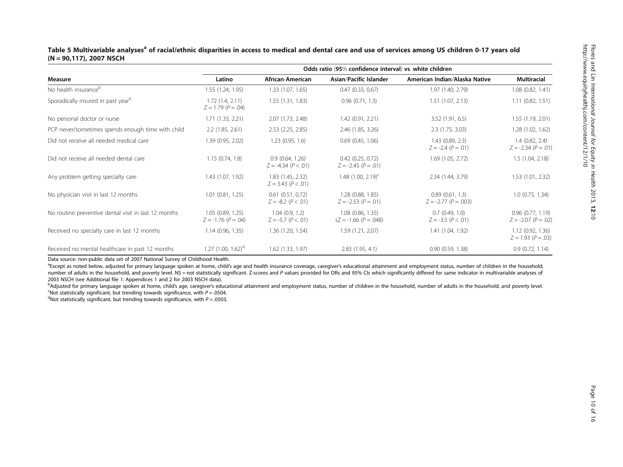# <span id="page-9-0"></span>Table 5 Multivariable analyses<sup>a</sup> of racial/ethnic disparities in access to medical and dental care and use of services among US children 0-17 years old (N = 90,117), 2007 NSCH

|                                                      | Odds ratio (95% confidence interval) vs. white children |                                              |                                                 |                                               |                                               |  |  |  |  |  |
|------------------------------------------------------|---------------------------------------------------------|----------------------------------------------|-------------------------------------------------|-----------------------------------------------|-----------------------------------------------|--|--|--|--|--|
| Measure                                              | Latino                                                  | African-American                             | Asian/Pacific Islander                          | American Indian/Alaska Native                 | Multiracial                                   |  |  |  |  |  |
| No health insurance <sup>b</sup>                     | 1.55 (1.24, 1.95)                                       | 1.33(1.07, 1.65)                             | $0.47$ (0.33, 0.67)                             | 1.97 (1.40, 2.79)                             | $1.08$ (0.82, 1.41)                           |  |  |  |  |  |
| Sporadically insured in past year <sup>b</sup>       | 1.72(1.4, 2.11)<br>$Z = 1.79$ ( $P = .04$ )             | 1.55(1.31, 1.83)                             | 0.96(0.71, 1.3)                                 | 1.51(1.07, 2.13)                              | 1.11(0.82, 1.51)                              |  |  |  |  |  |
| No personal doctor or nurse                          | 1.71(1.33, 2.21)                                        | 2.07 (1.73, 2.48)                            | 1.42(0.91, 2.21)                                | 3.52(1.91, 6.5)                               | 1.55(1.19, 2.01)                              |  |  |  |  |  |
| PCP never/sometimes spends enough time with child    | 2.2(1.85, 2.61)                                         | $2.53$ (2.25, 2.85)                          | 2.46 (1.85, 3.26)                               | 2.3(1.75, 3.03)                               | 1.28(1.02, 1.62)                              |  |  |  |  |  |
| Did not receive all needed medical care              | 1.39 (0.95, 2.02)                                       | 1.23(0.95, 1.6)                              | 0.69(0.45, 1.06)                                | 1.43(0.89, 2.3)<br>$Z = -2.4 (P = .01)$       | 1.4(0.82, 2.4)<br>$Z = -2.34$ ( $P = .01$ )   |  |  |  |  |  |
| Did not receive all needed dental care               | 1.15(0.74, 1.8)                                         | 0.9(0.64, 1.26)<br>$Z = -4.34$ ( $P < .01$ ) | 0.42(0.25, 0.72)<br>$Z = -2.45$ ( $P = .01$ )   | 1.69 (1.05, 2.72)                             | 1.5(1.04, 2.18)                               |  |  |  |  |  |
| Any problem getting specialty care                   | 1.43 (1.07, 1.92)                                       | 1.83(1.45, 2.32)<br>$Z = 3.43$ ( $P < .01$ ) | 1.48 $(1.00, 2.19)^{c}$                         | 2.34 (1.44, 3.79)                             | 1.53(1.01, 2.32)                              |  |  |  |  |  |
| No physician visit in last 12 months                 | $1.01$ (0.81, 1.25)                                     | 0.61(0.51, 0.72)<br>$Z = -8.2$ ( $P < .01$ ) | 1.28 (0.88, 1.85)<br>$Z = -2.53$ ( $P = .01$ )  | 0.89(0.61, 1.3)<br>$Z = -2.77$ ( $P = .003$ ) | 1.0(0.75, 1.34)                               |  |  |  |  |  |
| No routine preventive dental visit in last 12 months | 1.05(0.89, 1.25)<br>$Z = -1.76$ ( $P = .04$ )           | 1.04(0.9, 1.2)<br>$Z = -5.7$ ( $P < .01$ )   | 1.08(0.86, 1.35)<br>$sZ = -1.66$ ( $P = .048$ ) | 0.7(0.49, 1.0)<br>$Z = -3.5$ ( $P < .01$ )    | 0.96(0.77, 1.19)<br>$Z = -2.07$ ( $P = .02$ ) |  |  |  |  |  |
| Received no specialty care in last 12 months         | 1.14(0.96, 1.35)                                        | 1.36(1.20, 1.54)                             | 1.59 (1.21, 2.07)                               | 1.41(1.04, 1.92)                              | 1.12(0.92, 1.36)<br>$Z = 1.93$ ( $P = .03$ )  |  |  |  |  |  |
| Received no mental healthcare in past 12 months      | $1.27$ (1.00, 1.62) <sup>d</sup>                        | 1.62 (1.33, 1.97)                            | 2.83(1.95, 4.1)                                 | 0.90(0.59, 1.38)                              | 0.9(0.72, 1.14)                               |  |  |  |  |  |

Data source: non-public data set of 2007 National Survey of Childhood Health.

<sup>a</sup>Except as noted below, adjusted for primary language spoken at home, child's age and health insurance coverage, caregiver's educational attainment and employment status, number of children in the household, number of adults in the household, and poverty level. NS = not statistically significant. Z-scores and P values provided for ORs and 95% CIs which significantly differed for same indicator in multivariable analyses of 2003 NSCH (see Additional file [1:](#page-14-0) Appendices 1 and 2 for 2003 NSCH data).

<sup>b</sup>Adjusted for primary language spoken at home, child's age, caregiver's educational attainment and employment status, number of children in the household, number of adults in the household, and poverty level. Not statistically significant, but trending towards significance, with  $P = 0.0504$ .

<sup>d</sup>Not statistically significant, but trending towards significance, with  $P = .0503$ .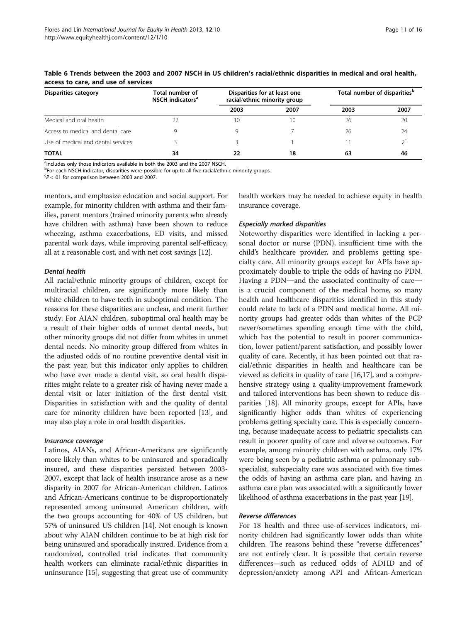| <b>Disparities category</b>        | Total number of<br>NSCH indicators <sup>a</sup> |      | Disparities for at least one<br>racial/ethnic minority group | Total number of disparities <sup>b</sup> |      |  |
|------------------------------------|-------------------------------------------------|------|--------------------------------------------------------------|------------------------------------------|------|--|
|                                    |                                                 | 2003 | 2007                                                         | 2003                                     | 2007 |  |
| Medical and oral health            |                                                 | 10   | 10                                                           | 26                                       | 20   |  |
| Access to medical and dental care  |                                                 | Q    |                                                              | 26                                       | 24   |  |
| Use of medical and dental services |                                                 |      |                                                              |                                          |      |  |
| <b>TOTAL</b>                       | 34                                              | 22   | 18                                                           | 63                                       | 46   |  |

<span id="page-10-0"></span>Table 6 Trends between the 2003 and 2007 NSCH in US children's racial/ethnic disparities in medical and oral health, access to care, and use of services

<sup>a</sup>Includes only those indicators available in both the 2003 and the 2007 NSCH.

<sup>b</sup>For each NSCH indicator, disparities were possible for up to all five racial/ethnic minority groups.

 $\text{c}_P$  < .01 for comparison between 2003 and 2007.

mentors, and emphasize education and social support. For example, for minority children with asthma and their families, parent mentors (trained minority parents who already have children with asthma) have been shown to reduce wheezing, asthma exacerbations, ED visits, and missed parental work days, while improving parental self-efficacy, all at a reasonable cost, and with net cost savings [\[12\]](#page-15-0).

#### Dental health

All racial/ethnic minority groups of children, except for multiracial children, are significantly more likely than white children to have teeth in suboptimal condition. The reasons for these disparities are unclear, and merit further study. For AIAN children, suboptimal oral health may be a result of their higher odds of unmet dental needs, but other minority groups did not differ from whites in unmet dental needs. No minority group differed from whites in the adjusted odds of no routine preventive dental visit in the past year, but this indicator only applies to children who have ever made a dental visit, so oral health disparities might relate to a greater risk of having never made a dental visit or later initiation of the first dental visit. Disparities in satisfaction with and the quality of dental care for minority children have been reported [[13](#page-15-0)], and may also play a role in oral health disparities.

#### Insurance coverage

Latinos, AIANs, and African-Americans are significantly more likely than whites to be uninsured and sporadically insured, and these disparities persisted between 2003- 2007, except that lack of health insurance arose as a new disparity in 2007 for African-American children. Latinos and African-Americans continue to be disproportionately represented among uninsured American children, with the two groups accounting for 40% of US children, but 57% of uninsured US children [[14](#page-15-0)]. Not enough is known about why AIAN children continue to be at high risk for being uninsured and sporadically insured. Evidence from a randomized, controlled trial indicates that community health workers can eliminate racial/ethnic disparities in uninsurance [\[15\]](#page-15-0), suggesting that great use of community health workers may be needed to achieve equity in health insurance coverage.

#### Especially marked disparities

Noteworthy disparities were identified in lacking a personal doctor or nurse (PDN), insufficient time with the child's healthcare provider, and problems getting specialty care. All minority groups except for APIs have approximately double to triple the odds of having no PDN. Having a PDN―and the associated continuity of care― is a crucial component of the medical home, so many health and healthcare disparities identified in this study could relate to lack of a PDN and medical home. All minority groups had greater odds than whites of the PCP never/sometimes spending enough time with the child, which has the potential to result in poorer communication, lower patient/parent satisfaction, and possibly lower quality of care. Recently, it has been pointed out that racial/ethnic disparities in health and healthcare can be viewed as deficits in quality of care [[16,17\]](#page-15-0), and a comprehensive strategy using a quality-improvement framework and tailored interventions has been shown to reduce disparities [\[18\]](#page-15-0). All minority groups, except for APIs, have significantly higher odds than whites of experiencing problems getting specialty care. This is especially concerning, because inadequate access to pediatric specialists can result in poorer quality of care and adverse outcomes. For example, among minority children with asthma, only 17% were being seen by a pediatric asthma or pulmonary subspecialist, subspecialty care was associated with five times the odds of having an asthma care plan, and having an asthma care plan was associated with a significantly lower likelihood of asthma exacerbations in the past year [[19](#page-15-0)].

#### Reverse differences

For 18 health and three use-of-services indicators, minority children had significantly lower odds than white children. The reasons behind these "reverse differences" are not entirely clear. It is possible that certain reverse differences—such as reduced odds of ADHD and of depression/anxiety among API and African-American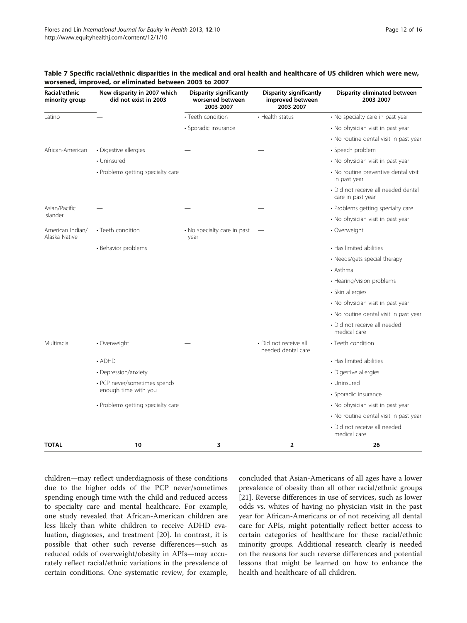| Racial/ethnic<br>minority group   | New disparity in 2007 which<br>did not exist in 2003 | Disparity significantly<br>worsened between<br>2003-2007 | Disparity significantly<br>improved between<br>2003-2007 | Disparity eliminated between<br>2003-2007                |
|-----------------------------------|------------------------------------------------------|----------------------------------------------------------|----------------------------------------------------------|----------------------------------------------------------|
| Latino                            |                                                      | • Teeth condition                                        | • Health status                                          | • No specialty care in past year                         |
|                                   |                                                      | · Sporadic insurance                                     |                                                          | • No physician visit in past year                        |
|                                   |                                                      |                                                          |                                                          | • No routine dental visit in past year                   |
| African-American                  | • Digestive allergies                                |                                                          |                                                          | · Speech problem                                         |
|                                   | • Uninsured                                          |                                                          |                                                          | • No physician visit in past year                        |
|                                   | • Problems getting specialty care                    |                                                          |                                                          | • No routine preventive dental visit<br>in past year     |
|                                   |                                                      |                                                          |                                                          | · Did not receive all needed dental<br>care in past year |
| Asian/Pacific                     |                                                      |                                                          |                                                          | • Problems getting specialty care                        |
| Islander                          |                                                      |                                                          |                                                          | • No physician visit in past year                        |
| American Indian/<br>Alaska Native | • Teeth condition                                    | • No specialty care in past<br>year                      |                                                          | • Overweight                                             |
|                                   | • Behavior problems                                  |                                                          |                                                          | • Has limited abilities                                  |
|                                   |                                                      |                                                          |                                                          | • Needs/gets special therapy                             |
|                                   |                                                      |                                                          |                                                          | • Asthma                                                 |
|                                   |                                                      |                                                          |                                                          | • Hearing/vision problems                                |
|                                   |                                                      |                                                          |                                                          | · Skin allergies                                         |
|                                   |                                                      |                                                          |                                                          | • No physician visit in past year                        |
|                                   |                                                      |                                                          |                                                          | · No routine dental visit in past year                   |
|                                   |                                                      |                                                          |                                                          | • Did not receive all needed<br>medical care             |
| Multiracial                       | • Overweight                                         |                                                          | · Did not receive all<br>needed dental care              | • Teeth condition                                        |
|                                   | $\cdot$ ADHD                                         |                                                          |                                                          | • Has limited abilities                                  |
|                                   | • Depression/anxiety                                 |                                                          |                                                          | • Digestive allergies                                    |
|                                   | • PCP never/sometimes spends                         |                                                          |                                                          | • Uninsured                                              |
|                                   | enough time with you                                 |                                                          |                                                          | • Sporadic insurance                                     |
|                                   | • Problems getting specialty care                    |                                                          |                                                          | • No physician visit in past year                        |
|                                   |                                                      |                                                          |                                                          | • No routine dental visit in past year                   |
|                                   |                                                      |                                                          |                                                          | · Did not receive all needed<br>medical care             |
| <b>TOTAL</b>                      | 10                                                   | 3                                                        | $\overline{2}$                                           | 26                                                       |

### <span id="page-11-0"></span>Table 7 Specific racial/ethnic disparities in the medical and oral health and healthcare of US children which were new, worsened, improved, or eliminated between 2003 to 2007

children—may reflect underdiagnosis of these conditions due to the higher odds of the PCP never/sometimes spending enough time with the child and reduced access to specialty care and mental healthcare. For example, one study revealed that African-American children are less likely than white children to receive ADHD evaluation, diagnoses, and treatment [\[20](#page-15-0)]. In contrast, it is possible that other such reverse differences—such as reduced odds of overweight/obesity in APIs—may accurately reflect racial/ethnic variations in the prevalence of certain conditions. One systematic review, for example, concluded that Asian-Americans of all ages have a lower prevalence of obesity than all other racial/ethnic groups [[21\]](#page-15-0). Reverse differences in use of services, such as lower odds vs. whites of having no physician visit in the past year for African-Americans or of not receiving all dental care for APIs, might potentially reflect better access to certain categories of healthcare for these racial/ethnic minority groups. Additional research clearly is needed on the reasons for such reverse differences and potential lessons that might be learned on how to enhance the health and healthcare of all children.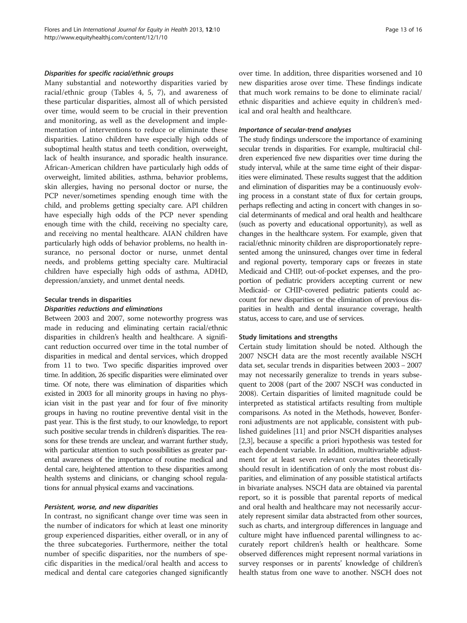#### Disparities for specific racial/ethnic groups

Many substantial and noteworthy disparities varied by racial/ethnic group (Tables [4](#page-8-0), [5](#page-9-0), [7\)](#page-11-0), and awareness of these particular disparities, almost all of which persisted over time, would seem to be crucial in their prevention and monitoring, as well as the development and implementation of interventions to reduce or eliminate these disparities. Latino children have especially high odds of suboptimal health status and teeth condition, overweight, lack of health insurance, and sporadic health insurance. African-American children have particularly high odds of overweight, limited abilities, asthma, behavior problems, skin allergies, having no personal doctor or nurse, the PCP never/sometimes spending enough time with the child, and problems getting specialty care. API children have especially high odds of the PCP never spending enough time with the child, receiving no specialty care, and receiving no mental healthcare. AIAN children have particularly high odds of behavior problems, no health insurance, no personal doctor or nurse, unmet dental needs, and problems getting specialty care. Multiracial children have especially high odds of asthma, ADHD, depression/anxiety, and unmet dental needs.

# Secular trends in disparities Disparities reductions and eliminations

Between 2003 and 2007, some noteworthy progress was made in reducing and eliminating certain racial/ethnic disparities in children's health and healthcare. A significant reduction occurred over time in the total number of disparities in medical and dental services, which dropped from 11 to two. Two specific disparities improved over time. In addition, 26 specific disparities were eliminated over time. Of note, there was elimination of disparities which existed in 2003 for all minority groups in having no physician visit in the past year and for four of five minority groups in having no routine preventive dental visit in the past year. This is the first study, to our knowledge, to report such positive secular trends in children's disparities. The reasons for these trends are unclear, and warrant further study, with particular attention to such possibilities as greater parental awareness of the importance of routine medical and dental care, heightened attention to these disparities among health systems and clinicians, or changing school regulations for annual physical exams and vaccinations.

# Persistent, worse, and new disparities

In contrast, no significant change over time was seen in the number of indicators for which at least one minority group experienced disparities, either overall, or in any of the three subcategories. Furthermore, neither the total number of specific disparities, nor the numbers of specific disparities in the medical/oral health and access to medical and dental care categories changed significantly

over time. In addition, three disparities worsened and 10 new disparities arose over time. These findings indicate that much work remains to be done to eliminate racial/ ethnic disparities and achieve equity in children's medical and oral health and healthcare.

#### Importance of secular-trend analyses

The study findings underscore the importance of examining secular trends in disparities. For example, multiracial children experienced five new disparities over time during the study interval, while at the same time eight of their disparities were eliminated. These results suggest that the addition and elimination of disparities may be a continuously evolving process in a constant state of flux for certain groups, perhaps reflecting and acting in concert with changes in social determinants of medical and oral health and healthcare (such as poverty and educational opportunity), as well as changes in the healthcare system. For example, given that racial/ethnic minority children are disproportionately represented among the uninsured, changes over time in federal and regional poverty, temporary caps or freezes in state Medicaid and CHIP, out-of-pocket expenses, and the proportion of pediatric providers accepting current or new Medicaid- or CHIP-covered pediatric patients could account for new disparities or the elimination of previous disparities in health and dental insurance coverage, health status, access to care, and use of services.

#### Study limitations and strengths

Certain study limitation should be noted. Although the 2007 NSCH data are the most recently available NSCH data set, secular trends in disparities between 2003 − 2007 may not necessarily generalize to trends in years subsequent to 2008 (part of the 2007 NSCH was conducted in 2008). Certain disparities of limited magnitude could be interpreted as statistical artifacts resulting from multiple comparisons. As noted in the Methods, however, Bonferroni adjustments are not applicable, consistent with published guidelines [\[11\]](#page-15-0) and prior NSCH disparities analyses [[2,3\]](#page-14-0), because a specific a priori hypothesis was tested for each dependent variable. In addition, multivariable adjustment for at least seven relevant covariates theoretically should result in identification of only the most robust disparities, and elimination of any possible statistical artifacts in bivariate analyses. NSCH data are obtained via parental report, so it is possible that parental reports of medical and oral health and healthcare may not necessarily accurately represent similar data abstracted from other sources, such as charts, and intergroup differences in language and culture might have influenced parental willingness to accurately report children's health or healthcare. Some observed differences might represent normal variations in survey responses or in parents' knowledge of children's health status from one wave to another. NSCH does not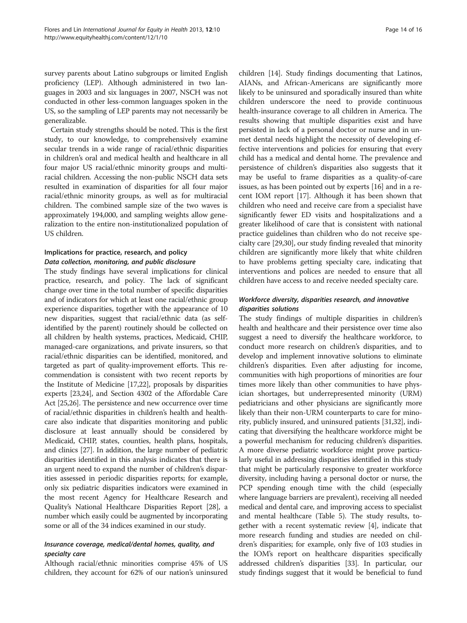survey parents about Latino subgroups or limited English proficiency (LEP). Although administered in two languages in 2003 and six languages in 2007, NSCH was not conducted in other less-common languages spoken in the US, so the sampling of LEP parents may not necessarily be generalizable.

Certain study strengths should be noted. This is the first study, to our knowledge, to comprehensively examine secular trends in a wide range of racial/ethnic disparities in children's oral and medical health and healthcare in all four major US racial/ethnic minority groups and multiracial children. Accessing the non-public NSCH data sets resulted in examination of disparities for all four major racial/ethnic minority groups, as well as for multiracial children. The combined sample size of the two waves is approximately 194,000, and sampling weights allow generalization to the entire non-institutionalized population of US children.

# Implications for practice, research, and policy Data collection, monitoring, and public disclosure

The study findings have several implications for clinical practice, research, and policy. The lack of significant change over time in the total number of specific disparities and of indicators for which at least one racial/ethnic group experience disparities, together with the appearance of 10 new disparities, suggest that racial/ethnic data (as selfidentified by the parent) routinely should be collected on all children by health systems, practices, Medicaid, CHIP, managed-care organizations, and private insurers, so that racial/ethnic disparities can be identified, monitored, and targeted as part of quality-improvement efforts. This recommendation is consistent with two recent reports by the Institute of Medicine [[17,22\]](#page-15-0), proposals by disparities experts [\[23,24\]](#page-15-0), and Section 4302 of the Affordable Care Act [\[25,26\]](#page-15-0). The persistence and new occurrence over time of racial/ethnic disparities in children's health and healthcare also indicate that disparities monitoring and public disclosure at least annually should be considered by Medicaid, CHIP, states, counties, health plans, hospitals, and clinics [[27](#page-15-0)]. In addition, the large number of pediatric disparities identified in this analysis indicates that there is an urgent need to expand the number of children's disparities assessed in periodic disparities reports; for example, only six pediatric disparities indicators were examined in the most recent Agency for Healthcare Research and Quality's National Healthcare Disparities Report [\[28\]](#page-15-0), a number which easily could be augmented by incorporating some or all of the 34 indices examined in our study.

# Insurance coverage, medical/dental homes, quality, and specialty care

Although racial/ethnic minorities comprise 45% of US children, they account for 62% of our nation's uninsured children [\[14\]](#page-15-0). Study findings documenting that Latinos, AIANs, and African-Americans are significantly more likely to be uninsured and sporadically insured than white children underscore the need to provide continuous health-insurance coverage to all children in America. The results showing that multiple disparities exist and have persisted in lack of a personal doctor or nurse and in unmet dental needs highlight the necessity of developing effective interventions and policies for ensuring that every child has a medical and dental home. The prevalence and persistence of children's disparities also suggests that it may be useful to frame disparities as a quality-of-care issues, as has been pointed out by experts [[16](#page-15-0)] and in a recent IOM report [[17](#page-15-0)]. Although it has been shown that children who need and receive care from a specialist have significantly fewer ED visits and hospitalizations and a greater likelihood of care that is consistent with national practice guidelines than children who do not receive specialty care [\[29,30\]](#page-15-0), our study finding revealed that minority children are significantly more likely that white children to have problems getting specialty care, indicating that interventions and polices are needed to ensure that all children have access to and receive needed specialty care.

# Workforce diversity, disparities research, and innovative disparities solutions

The study findings of multiple disparities in children's health and healthcare and their persistence over time also suggest a need to diversify the healthcare workforce, to conduct more research on children's disparities, and to develop and implement innovative solutions to eliminate children's disparities. Even after adjusting for income, communities with high proportions of minorities are four times more likely than other communities to have physician shortages, but underrepresented minority (URM) pediatricians and other physicians are significantly more likely than their non-URM counterparts to care for minority, publicly insured, and uninsured patients [\[31,32\]](#page-15-0), indicating that diversifying the healthcare workforce might be a powerful mechanism for reducing children's disparities. A more diverse pediatric workforce might prove particularly useful in addressing disparities identified in this study that might be particularly responsive to greater workforce diversity, including having a personal doctor or nurse, the PCP spending enough time with the child (especially where language barriers are prevalent), receiving all needed medical and dental care, and improving access to specialist and mental healthcare (Table [5\)](#page-9-0). The study results, together with a recent systematic review [[4\]](#page-14-0), indicate that more research funding and studies are needed on children's disparities; for example, only five of 103 studies in the IOM's report on healthcare disparities specifically addressed children's disparities [\[33\]](#page-15-0). In particular, our study findings suggest that it would be beneficial to fund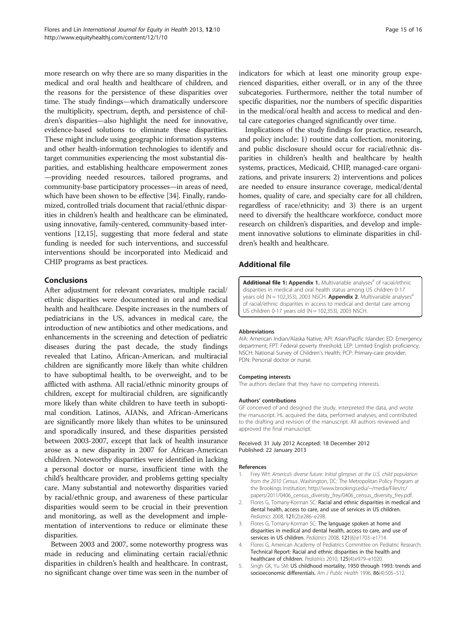<span id="page-14-0"></span>more research on why there are so many disparities in the medical and oral health and healthcare of children, and the reasons for the persistence of these disparities over time. The study findings—which dramatically underscore the multiplicity, spectrum, depth, and persistence of children's disparities—also highlight the need for innovative, evidence-based solutions to eliminate these disparities. These might include using geographic information systems and other health-information technologies to identify and target communities experiencing the most substantial disparities, and establishing healthcare empowerment zones —providing needed resources, tailored programs, and community-base participatory processes—in areas of need, which have been shown to be effective [\[34](#page-15-0)]. Finally, randomized, controlled trials document that racial/ethnic disparities in children's health and healthcare can be eliminated, using innovative, family-centered, community-based interventions [\[12](#page-15-0),[15](#page-15-0)], suggesting that more federal and state funding is needed for such interventions, and successful interventions should be incorporated into Medicaid and CHIP programs as best practices.

# Conclusions

After adjustment for relevant covariates, multiple racial/ ethnic disparities were documented in oral and medical health and healthcare. Despite increases in the numbers of pediatricians in the US, advances in medical care, the introduction of new antibiotics and other medications, and enhancements in the screening and detection of pediatric diseases during the past decade, the study findings revealed that Latino, African-American, and multiracial children are significantly more likely than white children to have suboptimal health, to be overweight, and to be afflicted with asthma. All racial/ethnic minority groups of children, except for multiracial children, are significantly more likely than white children to have teeth in suboptimal condition. Latinos, AIANs, and African-Americans are significantly more likely than whites to be uninsured and sporadically insured, and these disparities persisted between 2003-2007, except that lack of health insurance arose as a new disparity in 2007 for African-American children. Noteworthy disparities were identified in lacking a personal doctor or nurse, insufficient time with the child's healthcare provider, and problems getting specialty care. Many substantial and noteworthy disparities varied by racial/ethnic group, and awareness of these particular disparities would seem to be crucial in their prevention and monitoring, as well as the development and implementation of interventions to reduce or eliminate these disparities.

Between 2003 and 2007, some noteworthy progress was made in reducing and eliminating certain racial/ethnic disparities in children's health and healthcare. In contrast, no significant change over time was seen in the number of indicators for which at least one minority group experienced disparities, either overall, or in any of the three subcategories. Furthermore, neither the total number of specific disparities, nor the numbers of specific disparities in the medical/oral health and access to medical and dental care categories changed significantly over time.

Implications of the study findings for practice, research, and policy include: 1) routine data collection, monitoring, and public disclosure should occur for racial/ethnic disparities in children's health and healthcare by health systems, practices, Medicaid, CHIP, managed-care organizations, and private insurers; 2) interventions and polices are needed to ensure insurance coverage, medical/dental homes, quality of care, and specialty care for all children, regardless of race/ethnicity; and 3) there is an urgent need to diversify the healthcare workforce, conduct more research on children's disparities, and develop and implement innovative solutions to eliminate disparities in children's health and healthcare.

# Additional file

[Additional file 1:](http://www.biomedcentral.com/content/supplementary/1475-9276-12-10-S1.docx) Appendix 1. Multivariable analyses<sup>a</sup> of racial/ethnic disparities in medical and oral health status among US children 0-17 years old (N = 102,353), 2003 NSCH. Appendix 2. Multivariable analyses<sup>a</sup> of racial/ethnic disparities in access to medical and dental care among US children 0-17 years old (N = 102,353), 2003 NSCH.

#### Abbreviations

AIA: American Indian/Alaska Native; API: Asian/Pacific Islander; ED: Emergency department; FPT: Federal poverty threshold; LEP: Limited English proficiency; NSCH: National Survey of Children's Health; PCP: Primary-care provider; PDN: Personal doctor or nurse.

#### Competing interests

The authors declare that they have no competing interests.

#### Authors' contributions

GF conceived of and designed the study, interpreted the data, and wrote the manuscript. HL acquired the data, performed analyses, and contributed to the drafting and revision of the manuscript. All authors reviewed and approved the final manuscript.

Received: 31 July 2012 Accepted: 18 December 2012 Published: 22 January 2013

#### References

- 1. Frey WH: America's diverse future: Initial glimpses at the U.S. child population from the 2010 Census. Washington, DC: The Metropolitan Policy Program at the Brookings Institution; [http://www.brookings.edu/~/media/Files/rc/](http://www.brookings.edu/~/media/Files/rc/papers/2011/0406_census_diversity_frey/0406_census_diversity_frey.pdf) [papers/2011/0406\\_census\\_diversity\\_frey/0406\\_census\\_diversity\\_frey.pdf](http://www.brookings.edu/~/media/Files/rc/papers/2011/0406_census_diversity_frey/0406_census_diversity_frey.pdf).
- 2. Flores G, Tomany-Korman SC: Racial and ethnic disparities in medical and dental health, access to care, and use of services in US children. Pediatrics 2008, 121(2):e286–e298.
- 3. Flores G, Tomany-Korman SC: The language spoken at home and disparities in medical and dental health, access to care, and use of services in US children. Pediatrics 2008, 121(6):e1703-e1714.
- 4. Flores G, American Academy of Pediatrics Committee on Pediatric Research: Technical Report: Racial and ethnic disparities in the health and healthcare of children. Pediatrics 2010, 125(4):e979–e1020.
- 5. Singh GK, Yu SM: US childhood mortality, 1950 through 1993: trends and socioeconomic differentials. Am J Public Health 1996, 86(4):505-512.